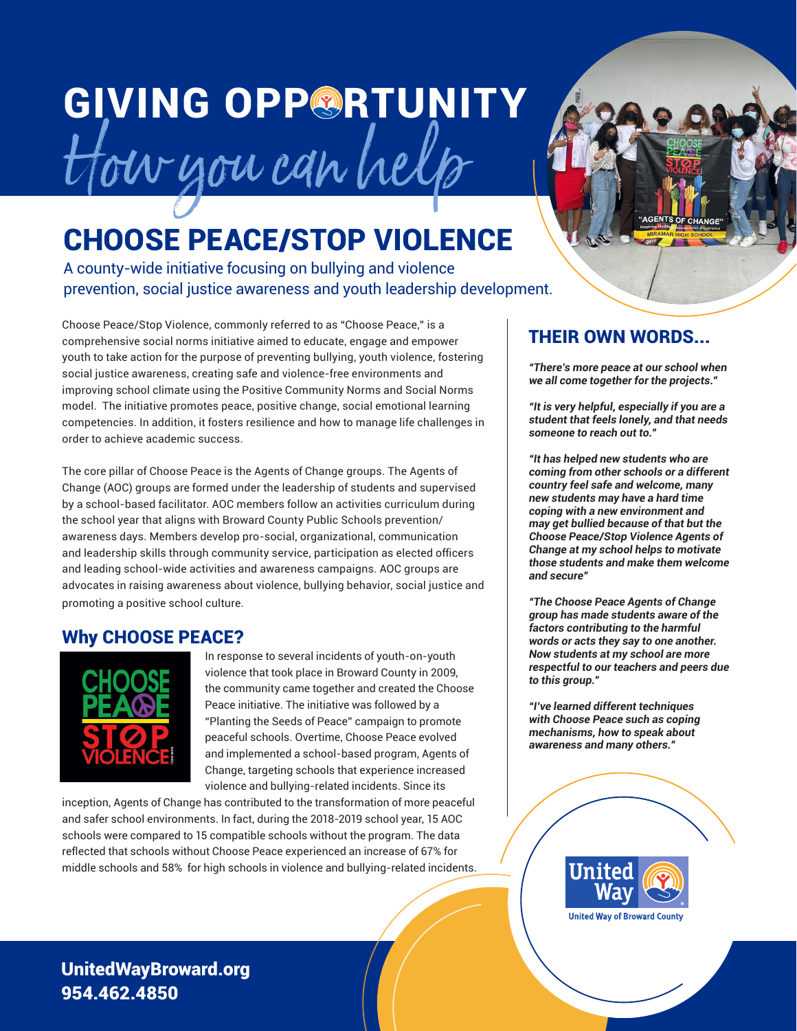## **GIVING OPPORTUNITY** How you can help

### CHOOSE PEACE/STOP VIOLENCE

A county-wide initiative focusing on bullying and violence prevention, social justice awareness and youth leadership development.

Choose Peace/Stop Violence, commonly referred to as "Choose Peace," is a comprehensive social norms initiative aimed to educate, engage and empower youth to take action for the purpose of preventing bullying, youth violence, fostering social justice awareness, creating safe and violence-free environments and improving school climate using the Positive Community Norms and Social Norms model. The initiative promotes peace, positive change, social emotional learning competencies. In addition, it fosters resilience and how to manage life challenges in order to achieve academic success.

The core pillar of Choose Peace is the Agents of Change groups. The Agents of Change (AOC) groups are formed under the leadership of students and supervised by a school-based facilitator. AOC members follow an activities curriculum during the school year that aligns with Broward County Public Schools prevention/ awareness days. Members develop pro-social, organizational, communication and leadership skills through community service, participation as elected officers and leading school-wide activities and awareness campaigns. AOC groups are advocates in raising awareness about violence, bullying behavior, social justice and promoting a positive school culture.

#### Why CHOOSE PEACE?



In response to several incidents of youth-on-youth violence that took place in Broward County in 2009, the community came together and created the Choose Peace initiative. The initiative was followed by a "Planting the Seeds of Peace" campaign to promote peaceful schools. Overtime, Choose Peace evolved and implemented a school-based program, Agents of Change, targeting schools that experience increased violence and bullying-related incidents. Since its

inception, Agents of Change has contributed to the transformation of more peaceful and safer school environments. In fact, during the 2018-2019 school year, 15 AOC schools were compared to 15 compatible schools without the program. The data reflected that schools without Choose Peace experienced an increase of 67% for middle schools and 58% for high schools in violence and bullying-related incidents.



#### THEIR OWN WORDS...

**"There's more peace at our school when we all come together for the projects."**

**"It is very helpful, especially if you are a student that feels lonely, and that needs someone to reach out to."**

**"It has helped new students who are coming from other schools or a different country feel safe and welcome, many new students may have a hard time coping with a new environment and may get bullied because of that but the Choose Peace/Stop Violence Agents of Change at my school helps to motivate those students and make them welcome and secure"**

**"The Choose Peace Agents of Change group has made students aware of the factors contributing to the harmful words or acts they say to one another. Now students at my school are more respectful to our teachers and peers due to this group."**

**"I've learned different techniques with Choose Peace such as coping mechanisms, how to speak about awareness and many others."**



**United Way of Broward County** 

UnitedWayBroward.org 954.462.4850